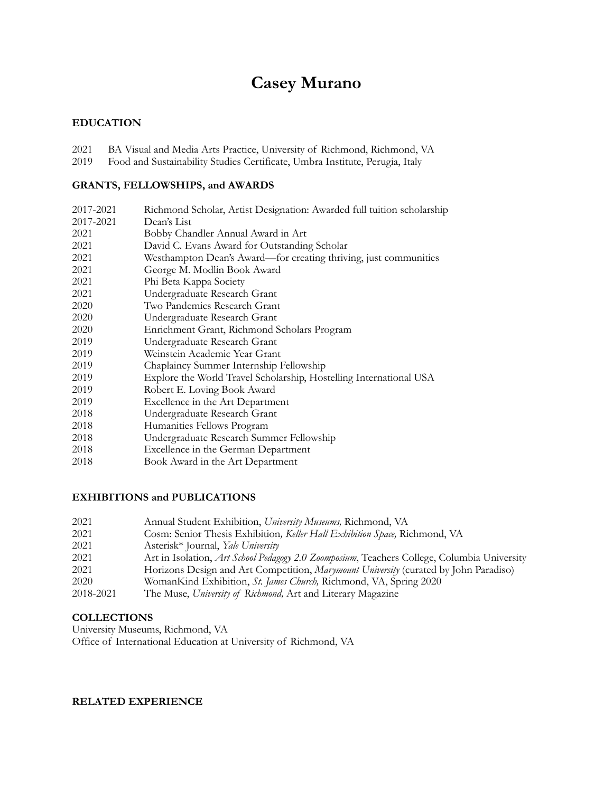# **Casey Murano**

# **EDUCATION**

- 2021 BA Visual and Media Arts Practice, University of Richmond, Richmond, VA
- Food and Sustainability Studies Certificate, Umbra Institute, Perugia, Italy

### **GRANTS, FELLOWSHIPS, and AWARDS**

| 2017-2021 | Richmond Scholar, Artist Designation: Awarded full tuition scholarship |
|-----------|------------------------------------------------------------------------|
| 2017-2021 | Dean's List                                                            |
| 2021      | Bobby Chandler Annual Award in Art                                     |
| 2021      | David C. Evans Award for Outstanding Scholar                           |
| 2021      | Westhampton Dean's Award—for creating thriving, just communities       |
| 2021      | George M. Modlin Book Award                                            |
| 2021      | Phi Beta Kappa Society                                                 |
| 2021      | Undergraduate Research Grant                                           |
| 2020      | Two Pandemics Research Grant                                           |
| 2020      | Undergraduate Research Grant                                           |
| 2020      | Enrichment Grant, Richmond Scholars Program                            |
| 2019      | Undergraduate Research Grant                                           |
| 2019      | Weinstein Academic Year Grant                                          |
| 2019      | Chaplaincy Summer Internship Fellowship                                |
| 2019      | Explore the World Travel Scholarship, Hostelling International USA     |
| 2019      | Robert E. Loving Book Award                                            |
| 2019      | Excellence in the Art Department                                       |
| 2018      | Undergraduate Research Grant                                           |
| 2018      | Humanities Fellows Program                                             |
| 2018      | Undergraduate Research Summer Fellowship                               |
| 2018      | Excellence in the German Department                                    |
| 2018      | Book Award in the Art Department                                       |

# **EXHIBITIONS and PUBLICATIONS**

| 2021      | Annual Student Exhibition, University Museums, Richmond, VA                                 |
|-----------|---------------------------------------------------------------------------------------------|
| 2021      | Cosm: Senior Thesis Exhibition, Keller Hall Exhibition Space, Richmond, VA                  |
| 2021      | Asterisk <sup>*</sup> Journal, <i>Yale University</i>                                       |
| 2021      | Art in Isolation, Art School Pedagogy 2.0 Zoomposium, Teachers College, Columbia University |
| 2021      | Horizons Design and Art Competition, <i>Marymount University</i> (curated by John Paradiso) |
| 2020      | WomanKind Exhibition, St. James Church, Richmond, VA, Spring 2020                           |
| 2018-2021 | The Muse, University of Richmond, Art and Literary Magazine                                 |

## **COLLECTIONS**

University Museums, Richmond, VA Office of International Education at University of Richmond, VA

## **RELATED EXPERIENCE**